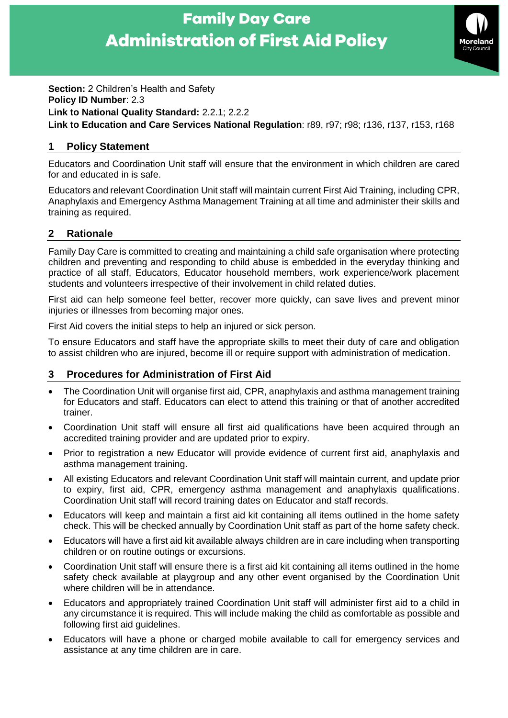# **Family Day Care Administration of First Aid Policy**



**Section:** 2 Children's Health and Safety **Policy ID Number**: 2.3 **Link to National Quality Standard:** 2.2.1; 2.2.2 **Link to Education and Care Services National Regulation**: r89, r97; r98; r136, r137, r153, r168

## **1 Policy Statement**

Educators and Coordination Unit staff will ensure that the environment in which children are cared for and educated in is safe.

Educators and relevant Coordination Unit staff will maintain current First Aid Training, including CPR, Anaphylaxis and Emergency Asthma Management Training at all time and administer their skills and training as required.

## **2 Rationale**

Family Day Care is committed to creating and maintaining a child safe organisation where protecting children and preventing and responding to child abuse is embedded in the everyday thinking and practice of all staff, Educators, Educator household members, work experience/work placement students and volunteers irrespective of their involvement in child related duties.

First aid can help someone feel better, recover more quickly, can save lives and prevent minor injuries or illnesses from becoming major ones.

First Aid covers the initial steps to help an injured or sick person.

To ensure Educators and staff have the appropriate skills to meet their duty of care and obligation to assist children who are injured, become ill or require support with administration of medication.

### **3 Procedures for Administration of First Aid**

- The Coordination Unit will organise first aid, CPR, anaphylaxis and asthma management training for Educators and staff. Educators can elect to attend this training or that of another accredited trainer.
- Coordination Unit staff will ensure all first aid qualifications have been acquired through an accredited training provider and are updated prior to expiry.
- Prior to registration a new Educator will provide evidence of current first aid, anaphylaxis and asthma management training.
- All existing Educators and relevant Coordination Unit staff will maintain current, and update prior to expiry, first aid, CPR, emergency asthma management and anaphylaxis qualifications. Coordination Unit staff will record training dates on Educator and staff records.
- Educators will keep and maintain a first aid kit containing all items outlined in the home safety check. This will be checked annually by Coordination Unit staff as part of the home safety check.
- Educators will have a first aid kit available always children are in care including when transporting children or on routine outings or excursions.
- Coordination Unit staff will ensure there is a first aid kit containing all items outlined in the home safety check available at playgroup and any other event organised by the Coordination Unit where children will be in attendance.
- Educators and appropriately trained Coordination Unit staff will administer first aid to a child in any circumstance it is required. This will include making the child as comfortable as possible and following first aid guidelines.
- Educators will have a phone or charged mobile available to call for emergency services and assistance at any time children are in care.